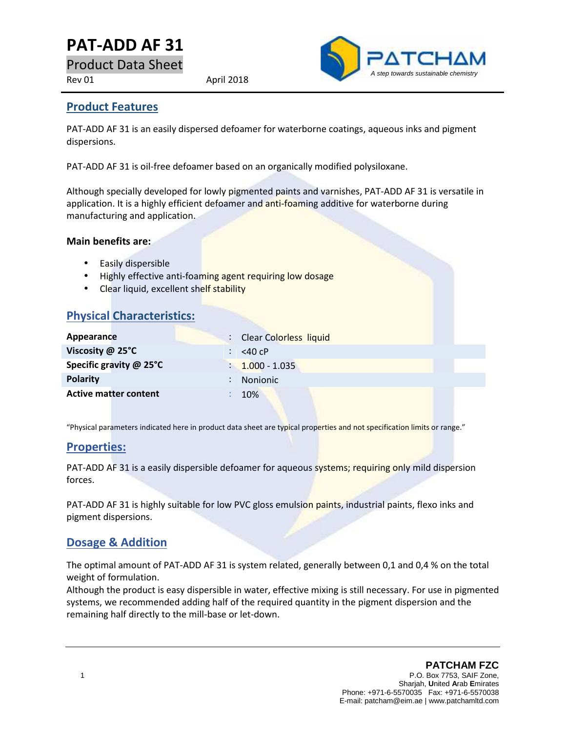# **PAT-ADD AF31**

Product Data Sheet

Rev 01 April 2018



#### **Product Features**

PAT-ADD AF 31 is an easily dispersed defoamer for waterborne coatings, aqueous inks and pigment dispersions.

PAT-ADD AF 31 is oil-free defoamer based on an organically modified polysiloxane.

Although specially developed for lowly pigmented paints and varnishes, PAT-ADD AF 31 is versatile in application. It is a highly efficient defoamer and anti-foaming additive for waterborne during manufacturing and application.

#### **Main benefits are:**

- Easily dispersible
- Highly effective anti-foaming agent requiring low dosage
- Clear liquid, excellent shelf stability

|  |  | <b>Physical Characteristics:</b> |
|--|--|----------------------------------|
|--|--|----------------------------------|

| Appearance                   | : Clear Colorless liquid |
|------------------------------|--------------------------|
| Viscosity @ 25°C             | $<$ 40 cP                |
| Specific gravity @ 25°C      | $: 1.000 - 1.035$        |
| <b>Polarity</b>              | <b>Nonionic</b>          |
| <b>Active matter content</b> | 10%                      |

"Physical parameters indicated here in product data sheet are typical properties and not specification limits or range."

#### **Properties:**

PAT-ADD AF 31 is a easily dispersible defoamer for aqueous systems; requiring only mild dispersion forces.

PAT-ADD AF 31 is highly suitable for low PVC gloss emulsion paints, industrial paints, flexo inks and pigment dispersions.

#### **Dosage & Addition**

The optimal amount of PAT-ADD AF 31 is system related, generally between 0,1 and 0,4 % on the total weight of formulation.

Although the product is easy dispersible in water, effective mixing is still necessary. For use in pigmented systems, we recommended adding half of the required quantity in the pigment dispersion and the remaining half directly to the mill-base or let-down.